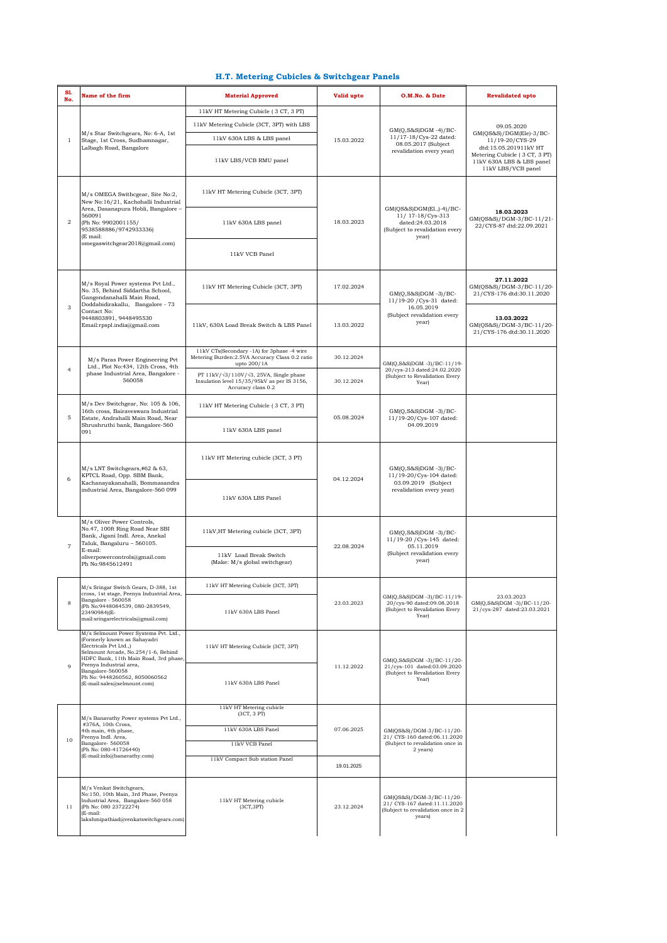## **H.T. Metering Cubicles & Switchgear Panels**

| <b>S1.</b><br>No. | Name of the firm                                                                                                                                                                                                                                                                               | <b>Material Approved</b>                                                                                                        | Valid upto | O.M.No. & Date                                                                                                | <b>Revalidated upto</b>                                                                                                                                                 |
|-------------------|------------------------------------------------------------------------------------------------------------------------------------------------------------------------------------------------------------------------------------------------------------------------------------------------|---------------------------------------------------------------------------------------------------------------------------------|------------|---------------------------------------------------------------------------------------------------------------|-------------------------------------------------------------------------------------------------------------------------------------------------------------------------|
|                   |                                                                                                                                                                                                                                                                                                | 11kV HT Metering Cubicle (3 CT, 3 PT)                                                                                           | 15.03.2022 | $GM(Q,S&S)DGM -4)/BC-$<br>11/17-18/Cys-22 dated:<br>08.05.2017 (Subject<br>revalidation every year)           |                                                                                                                                                                         |
| $\mathbf{1}$      |                                                                                                                                                                                                                                                                                                | 11kV Metering Cubicle (3CT, 3PT) with LBS                                                                                       |            |                                                                                                               | 09.05.2020<br>$GM(QS&S)/DGM(Ele)-3/BC-$<br>11/19-20/CYS-29<br>dtd:15.05.201911kV HT<br>Metering Cubicle (3 CT, 3 PT)<br>11kV 630A LBS & LBS panel<br>11kV LBS/VCB panel |
|                   | M/s Star Switchgears, No: 6-A, 1st<br>Stage, 1st Cross, Sudhamnagar,<br>Lalbagh Road, Bangalore                                                                                                                                                                                                | 11kV 630A LBS & LBS panel                                                                                                       |            |                                                                                                               |                                                                                                                                                                         |
|                   |                                                                                                                                                                                                                                                                                                | 11kV LBS/VCB RMU panel                                                                                                          |            |                                                                                                               |                                                                                                                                                                         |
| $\overline{2}$    | M/s OMEGA Swithcgear, Site No:2,<br>New No:16/21, Kachohalli Industrial<br>Area, Dasanapura Hobli, Bangalore -<br>560091<br>(Ph No: 9902001155/<br>9538588886/9742933336)<br>(E mail:<br>omegaswitchgear2018@gmail.com)                                                                        | 11kV HT Metering Cubicle (3CT, 3PT)                                                                                             | 18.03.2023 | $GM(QS&S)DGM(E1.,-4)/BC-$<br>11/ 17-18/Cys-313<br>dated:24.03.2018<br>(Subject to revalidation every<br>year) | 18.03.2023<br>GM(QS&S)/DGM-3/BC-11/21-<br>22/CYS-87 dtd:22.09.2021                                                                                                      |
|                   |                                                                                                                                                                                                                                                                                                | 11kV 630A LBS panel                                                                                                             |            |                                                                                                               |                                                                                                                                                                         |
|                   |                                                                                                                                                                                                                                                                                                | 11kV VCB Panel                                                                                                                  |            |                                                                                                               |                                                                                                                                                                         |
| 3                 | M/s Royal Power systems Pvt Ltd.,<br>No. 35, Behind Siddartha School,<br>Gangondanahalli Main Road,<br>Doddabidirakallu, Bangalore - 73<br>Contact No:<br>9448803891, 9448495530<br>Email:rpspl.india@gmail.com                                                                                | 11kV HT Metering Cubicle (3CT, 3PT)                                                                                             | 17.02.2024 | $GM(Q, S&S)DGM -3)/BC-$<br>11/19-20 / Cys-31 dated:<br>16.05.2019<br>(Subject revalidation every<br>year)     | 27.11.2022<br>GM(QS&S)/DGM-3/BC-11/20-<br>21/CYS-176 dtd:30.11.2020                                                                                                     |
|                   |                                                                                                                                                                                                                                                                                                | 11kV, 630A Load Break Switch & LBS Panel                                                                                        | 13.03.2022 |                                                                                                               | 13.03.2022<br>GM(QS&S)/DGM-3/BC-11/20-<br>21/CYS-176 dtd:30.11.2020                                                                                                     |
| $\overline{4}$    | M/s Paras Power Engineering Pvt<br>Ltd., Plot No:434, 12th Cross, 4th<br>phase Industrial Area, Bangalore -<br>560058                                                                                                                                                                          | 11kV CTs(Secondary -1A) for 3phase -4 wire<br>Metering Burden: 2.5VA Accuracy Class 0.2 ratio<br>upto 200/1A                    | 30.12.2024 | GM(Q,S&S)DGM -3)/BC-11/19-<br>20/cys-213 dated:24.02.2020<br>(Subject to Revalidation Every<br>Year)          |                                                                                                                                                                         |
|                   |                                                                                                                                                                                                                                                                                                | PT 11kV/ $\sqrt{3}$ /110V/ $\sqrt{3}$ , 25VA, Single phase<br>Insulation level 15/35/95kV as per IS 3156,<br>Accuracy class 0.2 | 30.12.2024 |                                                                                                               |                                                                                                                                                                         |
| 5                 | M/s Dev Switchgear, No: 105 & 106,<br>16th cross, Bairaveswara Industrial<br>Estate, Andrahalli Main Road, Near<br>Shrushruthi bank, Bangalore-560<br>091                                                                                                                                      | 11kV HT Metering Cubicle (3 CT, 3 PT)                                                                                           | 05.08.2024 | $GM(Q,S&S)DGM -3)/BC-$<br>11/19-20/Cys-107 dated:<br>04.09.2019                                               |                                                                                                                                                                         |
|                   |                                                                                                                                                                                                                                                                                                | 11kV 630A LBS panel                                                                                                             |            |                                                                                                               |                                                                                                                                                                         |
| 6                 | M/s LNT Switchgears, #62 & 63,<br>KPTCL Road, Opp. SBM Bank,<br>Kachanayakanahalli, Bommasandra<br>industrial Area, Bangalore-560 099                                                                                                                                                          | 11kV HT Metering cubicle (3CT, 3 PT)                                                                                            | 04.12.2024 | $GM(Q, S&S)DGM -3)/BC-$<br>11/19-20/Cys-104 dated:<br>03.09.2019 (Subject<br>revalidation every year)         |                                                                                                                                                                         |
|                   |                                                                                                                                                                                                                                                                                                | 11kV 630A LBS Panel                                                                                                             |            |                                                                                                               |                                                                                                                                                                         |
| $\overline{7}$    | M/s Oliver Power Controls,<br>No.47, 100ft Ring Road Near SBI<br>Bank, Jigani Indl. Area, Anekal<br>Taluk, Bangaluru - 560105.<br>E-mail:<br>oliverpowercontrols@gmail.com<br>Ph No: 9845612491                                                                                                | 11kV, HT Metering cubicle (3CT, 3PT)                                                                                            | 22.08.2024 | $GM(Q, S&S)DGM -3)/BC-$<br>11/19-20 / Cys-145 dated:<br>05.11.2019<br>(Subject revalidation every<br>year)    |                                                                                                                                                                         |
|                   |                                                                                                                                                                                                                                                                                                | 11kV Load Break Switch<br>(Make: M/s global switchgear)                                                                         |            |                                                                                                               |                                                                                                                                                                         |
|                   | M/s Sringar Switch Gears, D-388, 1st<br>cross, 1st stage, Peenya Industrial Area,<br>Bangalore - 560058<br>(Ph No:9448084539, 080-2839549,<br>23490984)(E-<br>mail:sringarelectricals@gmail.com)                                                                                               | 11kV HT Metering Cubicle (3CT, 3PT)                                                                                             | 23.03.2023 | GM(Q,S&S)DGM -3)/BC-11/19-<br>20/cys-90 dated:09.08.2018<br>(Subject to Revalidation Every<br>Year)           |                                                                                                                                                                         |
| 8                 |                                                                                                                                                                                                                                                                                                | 11kV 630A LBS Panel                                                                                                             |            |                                                                                                               | 23.03.2023<br>GM(Q,S&S)DGM -3)/BC-11/20-<br>21/cys-287 dated:23.03.2021                                                                                                 |
| 9                 | M/s Selmount Power Systems Pvt. Ltd.,<br>(Formerly known as Sahayadri<br>Electricals Pvt Ltd.,)<br>Selmount Arcade, No.254/1-6, Behind<br>HDFC Bank, 11th Main Road, 3rd phase,<br>Peenya Industrial area,<br>Bangalore-560058<br>Ph No: 9448260562, 8050060562<br>(E-mail:sales@selmount.com) | 11kV HT Metering Cubicle (3CT, 3PT)                                                                                             | 11.12.2022 | GM(Q,S&S)DGM -3)/BC-11/20-<br>21/cys-101 dated:03.09.2020<br>(Subject to Revalidation Every<br>Year)          |                                                                                                                                                                         |
|                   |                                                                                                                                                                                                                                                                                                | 11kV 630A LBS Panel                                                                                                             |            |                                                                                                               |                                                                                                                                                                         |
|                   | M/s Banavathy Power systems Pvt Ltd.,<br>#376A, 10th Cross,<br>4th main, 4th phase,<br>Peenya Indl. Area,<br>Bangalore-560058<br>(Ph No: 080-41726440)<br>(E-mail:info@banavathy.com)                                                                                                          | 11kV HT Metering cubicle<br>(3CT, 3 PT)                                                                                         | 07.06.2025 | GM(QS&S)/DGM-3/BC-11/20-<br>21/ CYS-160 dated:06.11.2020<br>(Subject to revalidation once in<br>2 years)      |                                                                                                                                                                         |
|                   |                                                                                                                                                                                                                                                                                                | 11kV 630A LBS Panel                                                                                                             |            |                                                                                                               |                                                                                                                                                                         |
| 10                |                                                                                                                                                                                                                                                                                                | 11kV VCB Panel                                                                                                                  |            |                                                                                                               |                                                                                                                                                                         |
|                   |                                                                                                                                                                                                                                                                                                | 11kV Compact Sub station Panel                                                                                                  | 19.01.2025 |                                                                                                               |                                                                                                                                                                         |
| 11                | M/s Venkat Switchgears,<br>No:150, 10th Main, 3rd Phase, Peenya<br>Industrial Area, Bangalore-560 058<br>(Ph No: 080 23722274)<br>(E-mail:<br>lakshmipathiad@venkatswitchgears.com)                                                                                                            | 11kV HT Metering cubicle<br>(3CT,3PT)                                                                                           | 23.12.2024 | GM(QS&S)/DGM-3/BC-11/20-<br>21/ CYS-167 dated:11.11.2020<br>(Subject to revalidation once in 2<br>years)      |                                                                                                                                                                         |